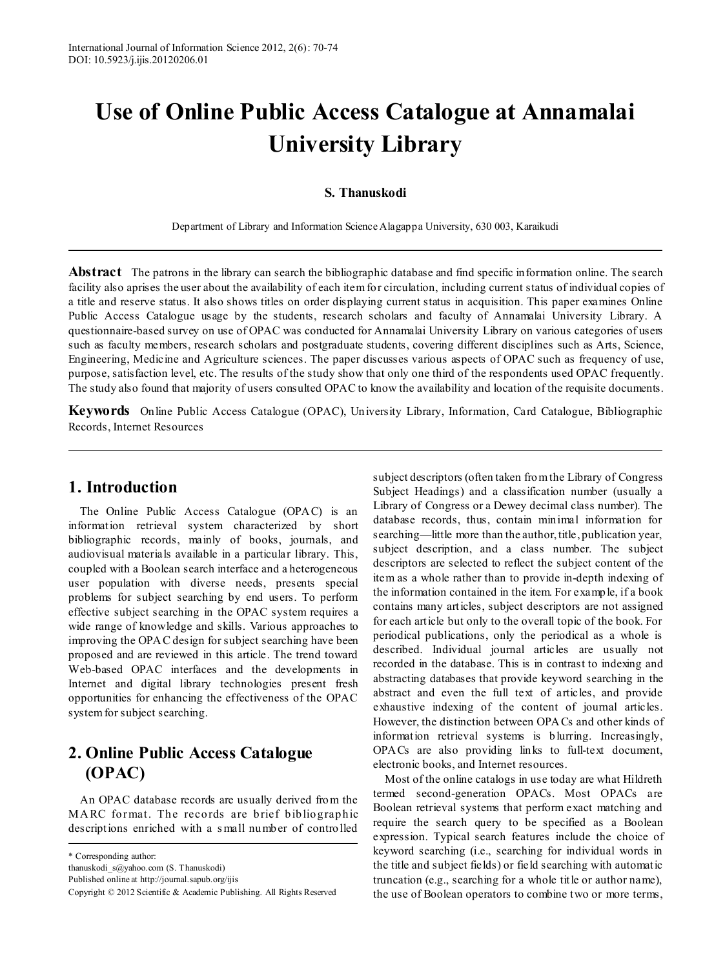# **Use of Online Public Access Catalogue at Annamalai University Library**

### **S. Thanuskodi**

Department of Library and Information Science Alagappa University, 630 003, Karaikudi

**Abstract** The patrons in the library can search the bibliographic database and find specific information online. The search facility also aprises the user about the availability of each item for circulation, including current status of individual copies of a title and reserve status. It also shows titles on order displaying current status in acquisition. This paper examines Online Public Access Catalogue usage by the students, research scholars and faculty of Annamalai University Library. A questionnaire-based survey on use of OPAC was conducted for Annamalai University Library on various categories of users such as faculty members, research scholars and postgraduate students, covering different disciplines such as Arts, Science, Engineering, Medicine and Agriculture sciences. The paper discusses various aspects of OPAC such as frequency of use, purpose, satisfaction level, etc. The results of the study show that only one third of the respondents used OPAC frequently. The study also found that majority of users consulted OPAC to know the availability and location of the requisite documents.

**Keywords** Online Public Access Catalogue (OPAC), University Library, Information, Card Catalogue, Bibliographic Records, Internet Resources

## **1. Introduction**

The Online Public Access Catalogue (OPAC) is an information retrieval system characterized by short bibliographic records, mainly of books, journals, and audiovisual materials available in a particular library. This, coupled with a Boolean search interface and a heterogeneous user population with diverse needs, presents special problems for subject searching by end users. To perform effective subject searching in the OPAC system requires a wide range of knowledge and skills. Various approaches to improving the OPAC design for subject searching have been proposed and are reviewed in this article. The trend toward Web-based OPAC interfaces and the developments in Internet and digital library technologies present fresh opportunities for enhancing the effectiveness of the OPAC system for subject searching.

## **2. Online Public Access Catalogue (OPAC)**

An OPAC database records are usually derived from the MARC format. The records are brief bibliographic descriptions enriched with a s mall number of controlled

Published online at http://journal.sapub.org/ijis

subject descriptors (often taken from the Library of Congress Subject Headings) and a classification number (usually a Library of Congress or a Dewey decimal class number). The database records, thus, contain minimal information for searching—little more than the author, title, publication year, subject description, and a class number. The subject descriptors are selected to reflect the subject content of the item as a whole rather than to provide in-depth indexing of the information contained in the item. For example, if a book contains many articles, subject descriptors are not assigned for each article but only to the overall topic of the book. For periodical publications, only the periodical as a whole is described. Individual journal articles are usually not recorded in the database. This is in contrast to indexing and abstracting databases that provide keyword searching in the abstract and even the full text of articles, and provide exhaustive indexing of the content of journal articles. However, the distinction between OPACs and other kinds of information retrieval systems is blurring. Increasingly, OPACs are also providing links to full-text document, electronic books, and Internet resources.

Most of the online catalogs in use today are what Hildreth termed second-generation OPACs. Most OPACs are Boolean retrieval systems that perform exact matching and require the search query to be specified as a Boolean expression. Typical search features include the choice of keyword searching (i.e., searching for individual words in the title and subject fields) or field searching with automatic truncation (e.g., searching for a whole title or author name), the use of Boolean operators to combine two or more terms,

<sup>\*</sup> Corresponding author:

thanuskodi\_s@yahoo.com (S. Thanuskodi)

Copyright © 2012 Scientific & Academic Publishing. All Rights Reserved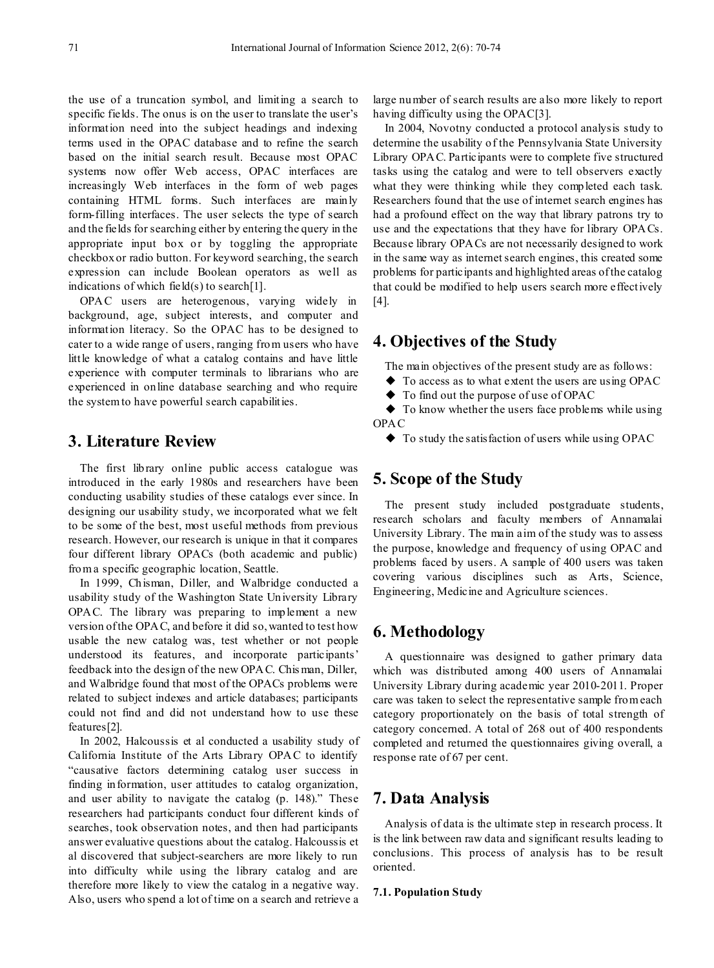the use of a truncation symbol, and limiting a search to specific fields. The onus is on the user to translate the user's information need into the subject headings and indexing terms used in the OPAC database and to refine the search based on the initial search result. Because most OPAC systems now offer Web access, OPAC interfaces are increasingly Web interfaces in the form of web pages containing HTML forms. Such interfaces are mainly form-filling interfaces. The user selects the type of search and the fields for searching either by entering the query in the appropriate input box or by toggling the appropriate checkbox or radio button. For keyword searching, the search expression can include Boolean operators as well as indications of which field(s) to search[1].

OPAC users are heterogenous, varying widely in background, age, subject interests, and computer and information literacy. So the OPAC has to be designed to cater to a wide range of users, ranging from users who have little knowledge of what a catalog contains and have little experience with computer terminals to librarians who are experienced in online database searching and who require the system to have powerful search capabilities.

## **3. Literature Review**

The first library online public access catalogue was introduced in the early 1980s and researchers have been conducting usability studies of these catalogs ever since. In designing our usability study, we incorporated what we felt to be some of the best, most useful methods from previous research. However, our research is unique in that it compares four different library OPACs (both academic and public) from a specific geographic location, Seattle.

In 1999, Chisman, Diller, and Walbridge conducted a usability study of the Washington State University Library OPAC. The library was preparing to implement a new version of the OPAC, and before it did so, wanted to test how usable the new catalog was, test whether or not people understood its features, and incorporate participants' feedback into the design of the new OPAC. Chis man, Diller, and Walbridge found that most of the OPACs problems were related to subject indexes and article databases; participants could not find and did not understand how to use these features[2].

In 2002, Halcoussis et al conducted a usability study of California Institute of the Arts Library OPAC to identify "causative factors determining catalog user success in finding information, user attitudes to catalog organization, and user ability to navigate the catalog (p. 148)." These researchers had participants conduct four different kinds of searches, took observation notes, and then had participants answer evaluative questions about the catalog. Halcoussis et al discovered that subject-searchers are more likely to run into difficulty while using the library catalog and are therefore more likely to view the catalog in a negative way. Also, users who spend a lot of time on a search and retrieve a

large number of search results are also more likely to report having difficulty using the OPAC[3].

In 2004, Novotny conducted a protocol analysis study to determine the usability of the Pennsylvania State University Library OPAC. Participants were to complete five structured tasks using the catalog and were to tell observers exactly what they were thinking while they completed each task. Researchers found that the use of internet search engines has had a profound effect on the way that library patrons try to use and the expectations that they have for library OPACs. Because library OPACs are not necessarily designed to work in the same way as internet search engines, this created some problems for participants and highlighted areas of the catalog that could be modified to help users search more effectively [4].

## **4. Objectives of the Study**

The main objectives of the present study are as follows:

- ◆ To access as to what extent the users are using OPAC
- ◆ To find out the purpose of use of OPAC

◆ To know whether the users face problems while using OPAC

 $\blacklozenge$  To study the satisfaction of users while using OPAC

## **5. Scope of the Study**

The present study included postgraduate students, research scholars and faculty members of Annamalai University Library. The main aim of the study was to assess the purpose, knowledge and frequency of using OPAC and problems faced by users. A sample of 400 users was taken covering various disciplines such as Arts, Science, Engineering, Medicine and Agriculture sciences.

## **6. Methodology**

A questionnaire was designed to gather primary data which was distributed among 400 users of Annamalai University Library during academic year 2010-2011. Proper care was taken to select the representative sample from each category proportionately on the basis of total strength of category concerned. A total of 268 out of 400 respondents completed and returned the questionnaires giving overall, a response rate of 67 per cent.

## **7. Data Analysis**

Analysis of data is the ultimate step in research process. It is the link between raw data and significant results leading to conclusions. This process of analysis has to be result oriented.

#### **7.1. Population Study**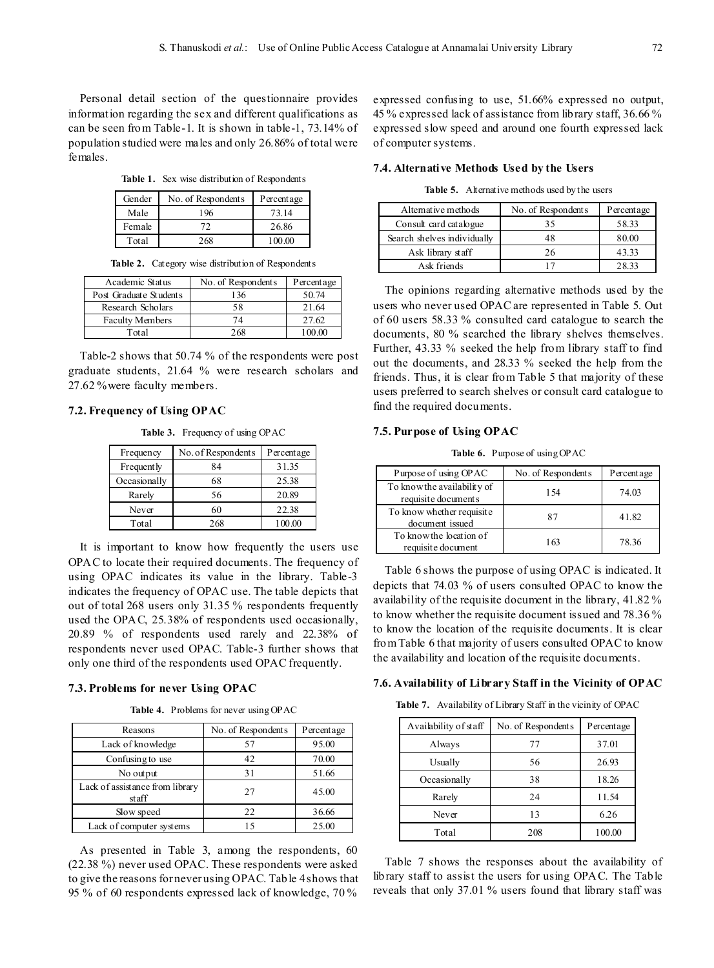Personal detail section of the questionnaire provides information regarding the sex and different qualifications as can be seen from Table-1. It is shown in table-1, 73.14% of population studied were males and only 26.86% of total were females.

**Table 1.** Sex wise distribution of Respondents

| Gender | No. of Respondents | Percentage |
|--------|--------------------|------------|
| Male   | 196                | 73.14      |
| Female | 72                 | 26.86      |
| Total  | 268                | 100.00     |

**Table 2.** Category wise distribution of Respondents

| Academic Status        | No. of Respondents | Percentage |
|------------------------|--------------------|------------|
| Post Graduate Students | 136                | 50.74      |
| Research Scholars      | 58                 | 21.64      |
| <b>Faculty Members</b> | 74                 | 27.62      |
| Total                  | 268                |            |

Table-2 shows that 50.74 % of the respondents were post graduate students, 21.64 % were research scholars and 27.62 %were faculty members.

#### **7.2. Frequency of Using OPAC**

**Table 3.** Frequency of using OPAC

| Frequency    | No. of Respondents | Percentage |
|--------------|--------------------|------------|
| Frequent ly  | 84                 | 31.35      |
| Occasionally | 68                 | 25.38      |
| Rarely       | 56                 | 20.89      |
| Never        | 60                 | 22.38      |
| Total        | 268                | 100.00     |

It is important to know how frequently the users use OPAC to locate their required documents. The frequency of using OPAC indicates its value in the library. Table-3 indicates the frequency of OPAC use. The table depicts that out of total 268 users only 31.35 % respondents frequently used the OPAC, 25.38% of respondents used occasionally, 20.89 % of respondents used rarely and 22.38% of respondents never used OPAC. Table-3 further shows that only one third of the respondents used OPAC frequently.

#### **7.3. Problems for never Using OPAC**

**Table 4.** Problems for never using OPAC

| Reasons                                  | No. of Respondents | Percentage |
|------------------------------------------|--------------------|------------|
| Lack of knowledge                        | 57                 | 95.00      |
| Confusing to use                         | 42                 | 70.00      |
| No output                                | 31                 | 51.66      |
| Lack of assistance from library<br>staff | 27                 | 45.00      |
| Slow speed                               | 22                 | 36.66      |
| Lack of computer systems                 | 15                 | 25.00      |

As presented in Table 3, among the respondents, 60 (22.38 %) never used OPAC. These respondents were asked to give the reasons for never using OPAC. Table 4shows that 95 % of 60 respondents expressed lack of knowledge, 70 %

expressed confusing to use, 51.66% expressed no output, 45 % expressed lack of assistance from library staff, 36.66 % expressed slow speed and around one fourth expressed lack of computer systems.

#### **7.4. Alternative Methods Used by the Users**

**Table 5.** Alternative methods used by the users

| Alternative methods         | No. of Respondents | Percentage |
|-----------------------------|--------------------|------------|
| Consult card catalogue      | 35                 | 58.33      |
| Search shelves individually | 48                 | 80.00      |
| Ask library staff           | 26                 | 43.33      |
| Ask friends                 |                    | 28.33      |

The opinions regarding alternative methods used by the users who never used OPAC are represented in Table 5. Out of 60 users 58.33 % consulted card catalogue to search the documents, 80 % searched the library shelves themselves. Further, 43.33 % seeked the help from library staff to find out the documents, and 28.33 % seeked the help from the friends. Thus, it is clear from Table 5 that majority of these users preferred to search shelves or consult card catalogue to find the required documents.

#### **7.5. Purpose of Using OPAC**

**Table 6.** Purpose of using OPAC

| Purpose of using OPAC                              | No. of Respondents | Percentage |
|----------------------------------------------------|--------------------|------------|
| To know the availability of<br>requisite documents | 154                | 74.03      |
| To know whether requisite<br>document issued       | 87                 | 41.82      |
| To know the location of<br>requisite document      | 163                | 7836       |

Table 6 shows the purpose of using OPAC is indicated. It depicts that 74.03 % of users consulted OPAC to know the availability of the requisite document in the library, 41.82 % to know whether the requisite document issued and 78.36 % to know the location of the requisite documents. It is clear from Table 6 that majority of users consulted OPAC to know the availability and location of the requisite documents.

#### **7.6. Availability of Library Staff in the Vicinity of OPAC**

**Table 7.** Availability of Library Staff in the vicinity of OPAC

| Availability of staff | No. of Respondents | Percentage |
|-----------------------|--------------------|------------|
| Always                | 77                 | 37.01      |
| Usually               | 56                 | 26.93      |
| Occasionally          | 38                 | 18.26      |
| Rarely                | 24                 | 11.54      |
| Never                 | 13                 | 6.26       |
| Total                 | 208                | 100.00     |

Table 7 shows the responses about the availability of library staff to assist the users for using OPAC. The Table reveals that only 37.01 % users found that library staff was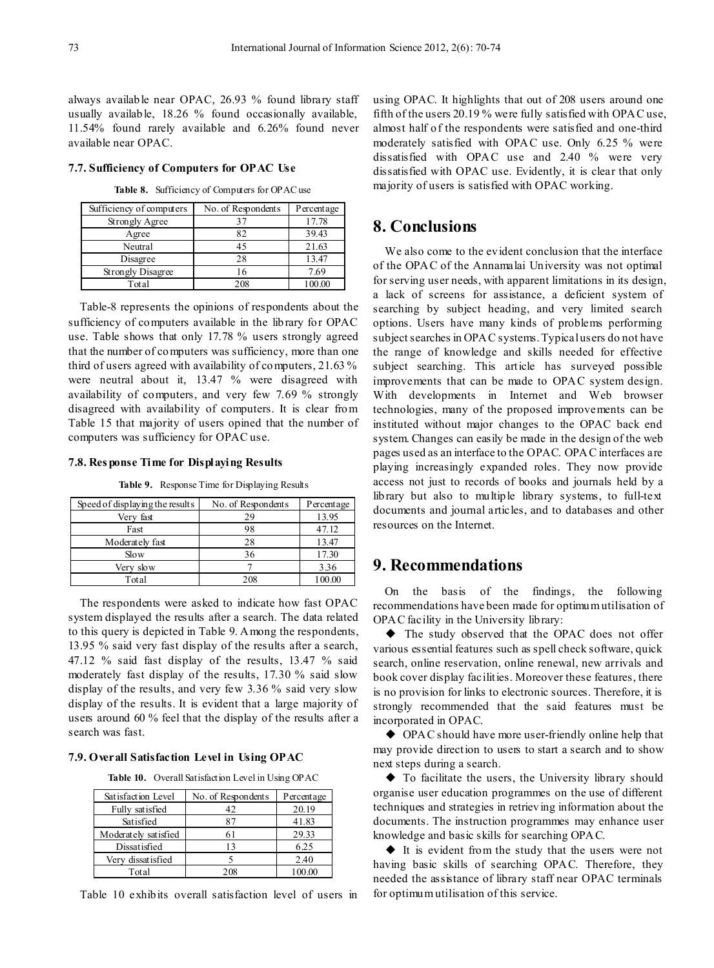always available near OPAC, 26.93 % found library staff usually available, 18.26 % found occasionally available, 11.54% found rarely available and 6.26% found never available near OPAC.

#### **7.7. Sufficiency of Computers for OPAC Use**

**Table 8.** Sufficiency of Computers for OPAC use

| Sufficiency of computers | No. of Respondents | Percentage |
|--------------------------|--------------------|------------|
| Strongly Agree           | 37                 | 17.78      |
| Agree                    | 82                 | 39.43      |
| Neutral                  | 45                 | 21.63      |
| Disagree                 | 28                 | 13.47      |
| Strongly Disagree        | 16                 | 7.69       |
| Total                    | 208                |            |

Table-8 represents the opinions of respondents about the sufficiency of computers available in the library for OPAC use. Table shows that only 17.78 % users strongly agreed that the number of computers was sufficiency, more than one third of users agreed with availability of computers, 21.63 % were neutral about it, 13.47 % were disagreed with availability of computers, and very few 7.69 % strongly disagreed with availability of computers. It is clear from Table 15 that majority of users opined that the number of computers was sufficiency for OPAC use.

#### **7.8. Res ponse Time for Displaying Results**

**Table 9.** Response Time for Displaying Results

| Speed of displaying the results | No. of Respondents | Percentage |
|---------------------------------|--------------------|------------|
| Very fast                       | 29                 | 13.95      |
| Fast                            | 98                 | 47.12      |
| Moderately fast                 | 28                 | 13.47      |
| Slow                            | 36                 | 17.30      |
| Very slow                       |                    | 3.36       |
| Total                           | 208                | 100.00     |

The respondents were asked to indicate how fast OPAC system displayed the results after a search. The data related to this query is depicted in Table 9. Among the respondents, 13.95 % said very fast display of the results after a search, 47.12 % said fast display of the results, 13.47 % said moderately fast display of the results, 17.30 % said slow display of the results, and very few 3.36 % said very slow display of the results. It is evident that a large majority of users around 60 % feel that the display of the results after a search was fast.

#### **7.9. Overall Satisfaction Level in Using OPAC**

**Table 10.** Overall Satisfaction Level in Using OPAC

| Satisfaction Level   | No. of Respondents | Percentage |
|----------------------|--------------------|------------|
| Fully satisfied      | 42                 | 20.19      |
| Satisfied            |                    | 41.83      |
| Moderately satisfied | 61                 | 29.33      |
| Dissatisfied         | 13                 | 6.25       |
| Very dissatisfied    |                    | 2.40       |
| Total                | 208                |            |

Table 10 exhibits overall satisfaction level of users in

using OPAC. It highlights that out of 208 users around one fifth of the users 20.19 % were fully satisfied with OPAC use, almost half of the respondents were satisfied and one-third moderately satisfied with OPAC use. Only 6.25 % were dissatisfied with OPAC use and 2.40 % were very dissatisfied with OPAC use. Evidently, it is clear that only majority of users is satisfied with OPAC working.

## **8. Conclusions**

We also come to the evident conclusion that the interface of the OPAC of the Annamalai University was not optimal for serving user needs, with apparent limitations in its design, a lack of screens for assistance, a deficient system of searching by subject heading, and very limited search options. Users have many kinds of problems performing subject searches in OPAC systems. Typical users do not have the range of knowledge and skills needed for effective subject searching. This article has surveyed possible improvements that can be made to OPAC system design. With developments in Internet and Web browser technologies, many of the proposed improvements can be instituted without major changes to the OPAC back end system. Changes can easily be made in the design of the web pages used as an interface to the OPAC. OPAC interfaces are playing increasingly expanded roles. They now provide access not just to records of books and journals held by a library but also to multiple library systems, to full-text documents and journal articles, and to databases and other resources on the Internet.

## **9. Recommendations**

On the basis of the findings, the following recommendations have been made for optimum utilisation of OPAC facility in the University library:

◆ The study observed that the OPAC does not offer various essential features such as spell check software, quick search, online reservation, online renewal, new arrivals and book cover display facilities. Moreover these features, there is no provision for links to electronic sources. Therefore, it is strongly recommended that the said features must be incorporated in OPAC.

◆ OPAC should have more user-friendly online help that may provide direction to users to start a search and to show next steps during a search.

◆ To facilitate the users, the University library should organise user education programmes on the use of different techniques and strategies in retrieving information about the documents. The instruction programmes may enhance user knowledge and basic skills for searching OPAC.

◆ It is evident from the study that the users were not having basic skills of searching OPAC. Therefore, they needed the assistance of library staff near OPAC terminals for optimum utilisation of this service.